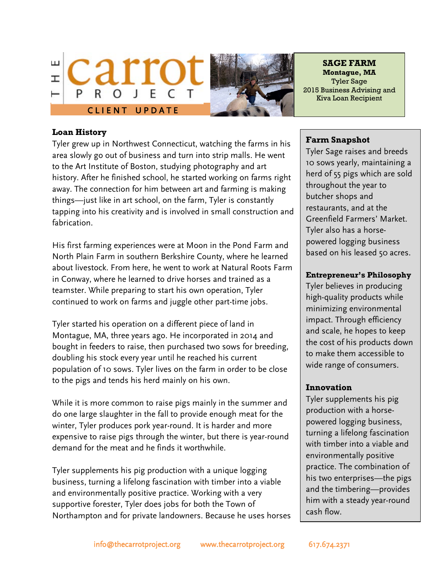



**SAGE FARM Montague, MA** Tyler Sage 2015 Business Advising and Kiva Loan Recipient

#### **Loan History**

Tyler grew up in Northwest Connecticut, watching the farms in his area slowly go out of business and turn into strip malls. He went to the Art Institute of Boston, studying photography and art history. After he finished school, he started working on farms right away. The connection for him between art and farming is making things—just like in art school, on the farm, Tyler is constantly tapping into his creativity and is involved in small construction and fabrication.

His first farming experiences were at Moon in the Pond Farm and North Plain Farm in southern Berkshire County, where he learned about livestock. From here, he went to work at Natural Roots Farm in Conway, where he learned to drive horses and trained as a teamster. While preparing to start his own operation, Tyler continued to work on farms and juggle other part-time jobs.

Tyler started his operation on a different piece of land in Montague, MA, three years ago. He incorporated in 2014 and bought in feeders to raise, then purchased two sows for breeding, doubling his stock every year until he reached his current population of 10 sows. Tyler lives on the farm in order to be close to the pigs and tends his herd mainly on his own.

While it is more common to raise pigs mainly in the summer and do one large slaughter in the fall to provide enough meat for the winter, Tyler produces pork year-round. It is harder and more expensive to raise pigs through the winter, but there is year-round demand for the meat and he finds it worthwhile.

Tyler supplements his pig production with a unique logging business, turning a lifelong fascination with timber into a viable and environmentally positive practice. Working with a very supportive forester, Tyler does jobs for both the Town of Northampton and for private landowners. Because he uses horses

### **Farm Snapshot**

Tyler Sage raises and breeds 10 sows yearly, maintaining a herd of 55 pigs which are sold throughout the year to butcher shops and restaurants, and at the Greenfield Farmers' Market. Tyler also has a horsepowered logging business based on his leased 50 acres.

### **Entrepreneur's Philosophy**

Tyler believes in producing high-quality products while minimizing environmental impact. Through efficiency and scale, he hopes to keep the cost of his products down to make them accessible to wide range of consumers.

# **Innovation**

Tyler supplements his pig production with a horsepowered logging business, turning a lifelong fascination with timber into a viable and environmentally positive practice. The combination of his two enterprises—the pigs and the timbering—provides him with a steady year-round cash flow.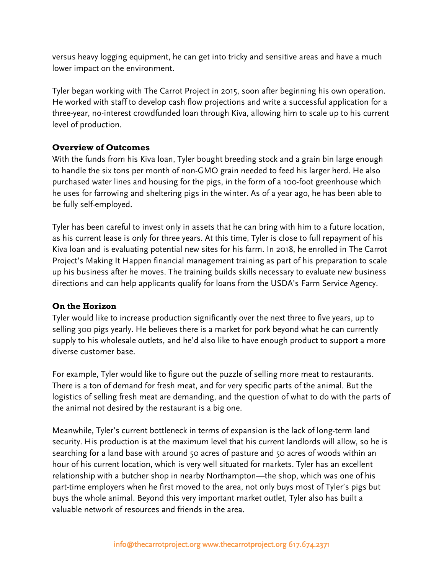versus heavy logging equipment, he can get into tricky and sensitive areas and have a much lower impact on the environment.

Tyler began working with The Carrot Project in 2015, soon after beginning his own operation. He worked with staff to develop cash flow projections and write a successful application for a three-year, no-interest crowdfunded loan through Kiva, allowing him to scale up to his current level of production.

# **Overview of Outcomes**

With the funds from his Kiva loan, Tyler bought breeding stock and a grain bin large enough to handle the six tons per month of non-GMO grain needed to feed his larger herd. He also purchased water lines and housing for the pigs, in the form of a 100-foot greenhouse which he uses for farrowing and sheltering pigs in the winter. As of a year ago, he has been able to be fully self-employed.

Tyler has been careful to invest only in assets that he can bring with him to a future location, as his current lease is only for three years. At this time, Tyler is close to full repayment of his Kiva loan and is evaluating potential new sites for his farm. In 2018, he enrolled in The Carrot Project's Making It Happen financial management training as part of his preparation to scale up his business after he moves. The training builds skills necessary to evaluate new business directions and can help applicants qualify for loans from the USDA's Farm Service Agency.

#### **On the Horizon**

Tyler would like to increase production significantly over the next three to five years, up to selling 300 pigs yearly. He believes there is a market for pork beyond what he can currently supply to his wholesale outlets, and he'd also like to have enough product to support a more diverse customer base.

For example, Tyler would like to figure out the puzzle of selling more meat to restaurants. There is a ton of demand for fresh meat, and for very specific parts of the animal. But the logistics of selling fresh meat are demanding, and the question of what to do with the parts of the animal not desired by the restaurant is a big one.

Meanwhile, Tyler's current bottleneck in terms of expansion is the lack of long-term land security. His production is at the maximum level that his current landlords will allow, so he is searching for a land base with around 50 acres of pasture and 50 acres of woods within an hour of his current location, which is very well situated for markets. Tyler has an excellent relationship with a butcher shop in nearby Northampton—the shop, which was one of his part-time employers when he first moved to the area, not only buys most of Tyler's pigs but buys the whole animal. Beyond this very important market outlet, Tyler also has built a valuable network of resources and friends in the area.